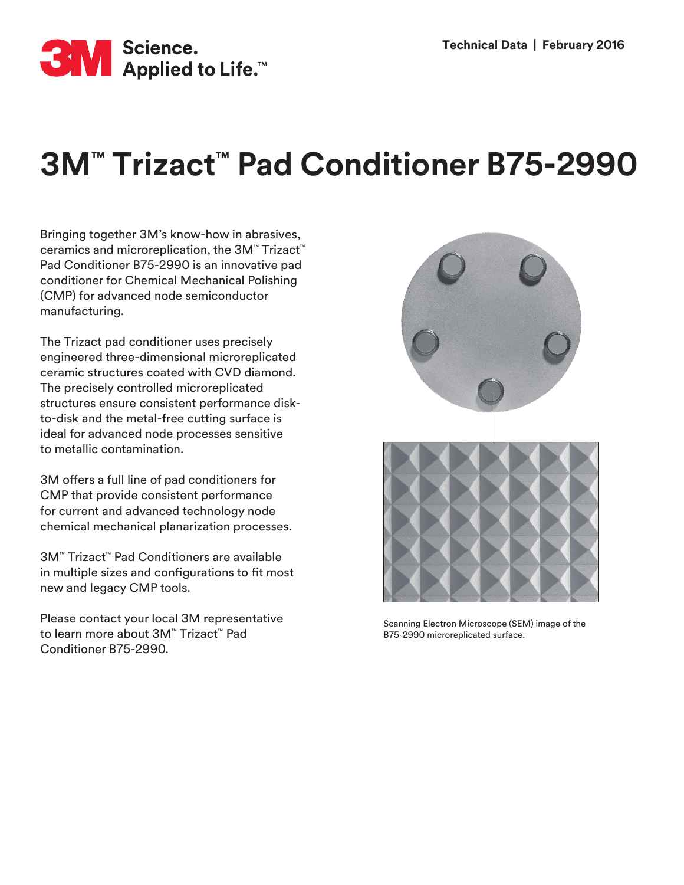

## **3M™ Trizact™ Pad Conditioner B75-2990**

Bringing together 3M's know-how in abrasives, ceramics and microreplication, the 3M™ Trizact™ Pad Conditioner B75-2990 is an innovative pad conditioner for Chemical Mechanical Polishing (CMP) for advanced node semiconductor manufacturing.

The Trizact pad conditioner uses precisely engineered three-dimensional microreplicated ceramic structures coated with CVD diamond. The precisely controlled microreplicated structures ensure consistent performance diskto-disk and the metal-free cutting surface is ideal for advanced node processes sensitive to metallic contamination.

3M offers a full line of pad conditioners for CMP that provide consistent performance for current and advanced technology node chemical mechanical planarization processes.

3M™ Trizact™ Pad Conditioners are available in multiple sizes and configurations to fit most new and legacy CMP tools.

Please contact your local 3M representative to learn more about 3M™ Trizact™ Pad Conditioner B75-2990.



Scanning Electron Microscope (SEM) image of the B75-2990 microreplicated surface.